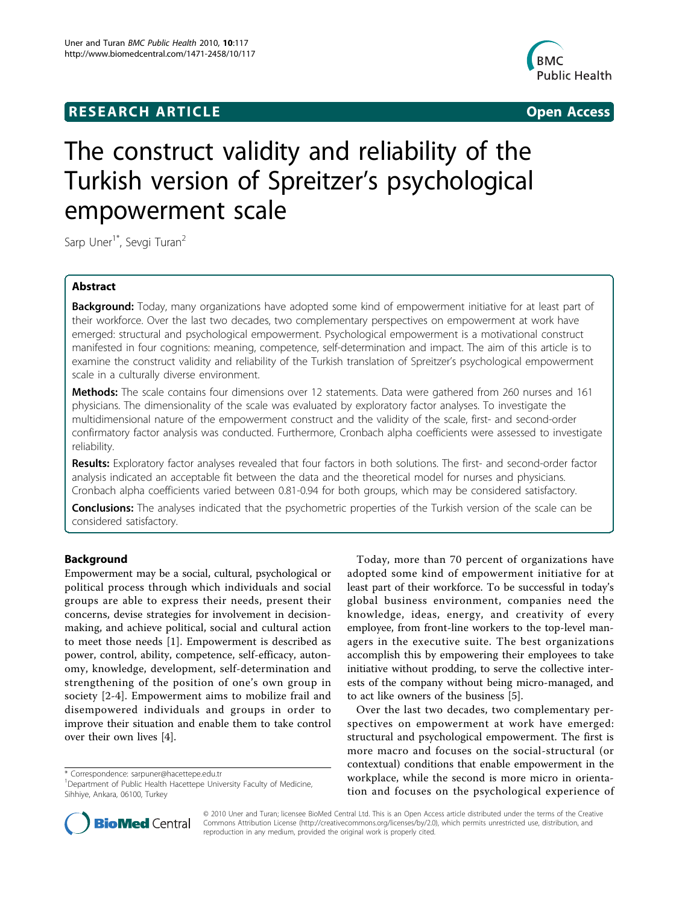# **RESEARCH ARTICLE CONSUMING A RESEARCH ARTICLE**



# The construct validity and reliability of the Turkish version of Spreitzer's psychological empowerment scale

Sarp Uner<sup>1\*</sup>, Sevgi Turan<sup>2</sup>

# Abstract

**Background:** Today, many organizations have adopted some kind of empowerment initiative for at least part of their workforce. Over the last two decades, two complementary perspectives on empowerment at work have emerged: structural and psychological empowerment. Psychological empowerment is a motivational construct manifested in four cognitions: meaning, competence, self-determination and impact. The aim of this article is to examine the construct validity and reliability of the Turkish translation of Spreitzer's psychological empowerment scale in a culturally diverse environment.

Methods: The scale contains four dimensions over 12 statements. Data were gathered from 260 nurses and 161 physicians. The dimensionality of the scale was evaluated by exploratory factor analyses. To investigate the multidimensional nature of the empowerment construct and the validity of the scale, first- and second-order confirmatory factor analysis was conducted. Furthermore, Cronbach alpha coefficients were assessed to investigate reliability.

Results: Exploratory factor analyses revealed that four factors in both solutions. The first- and second-order factor analysis indicated an acceptable fit between the data and the theoretical model for nurses and physicians. Cronbach alpha coefficients varied between 0.81-0.94 for both groups, which may be considered satisfactory.

**Conclusions:** The analyses indicated that the psychometric properties of the Turkish version of the scale can be considered satisfactory.

# Background

Empowerment may be a social, cultural, psychological or political process through which individuals and social groups are able to express their needs, present their concerns, devise strategies for involvement in decisionmaking, and achieve political, social and cultural action to meet those needs [1]. Empowerment is described as power, control, ability, competence, self-efficacy, autonomy, knowledge, development, self-determination and strengthening of the position of one's own group in society [2-4]. Empowerment aims to mobilize frail and disempowered individuals and groups in order to improve their situation and enable them to take control over their own lives [4].

\* Correspondence: [sarpuner@hacettepe.edu.tr](mailto:sarpuner@hacettepe.edu.tr)

Today, more than 70 percent of organizations have adopted some kind of empowerment initiative for at least part of their workforce. To be successful in today's global business environment, companies need the knowledge, ideas, energy, and creativity of every employee, from front-line workers to the top-level managers in the executive suite. The best organizations accomplish this by empowering their employees to take initiative without prodding, to serve the collective interests of the company without being micro-managed, and to act like owners of the business [5].

Over the last two decades, two complementary perspectives on empowerment at work have emerged: structural and psychological empowerment. The first is more macro and focuses on the social-structural (or contextual) conditions that enable empowerment in the workplace, while the second is more micro in orientation and focuses on the psychological experience of



© 2010 Uner and Turan; licensee BioMed Central Ltd. This is an Open Access article distributed under the terms of the Creative Commons Attribution License [\(http://creativecommons.org/licenses/by/2.0](http://creativecommons.org/licenses/by/2.0)), which permits unrestricted use, distribution, and reproduction in any medium, provided the original work is properly cited.

<sup>&</sup>lt;sup>1</sup>Department of Public Health Hacettepe University Faculty of Medicine, Sihhiye, Ankara, 06100, Turkey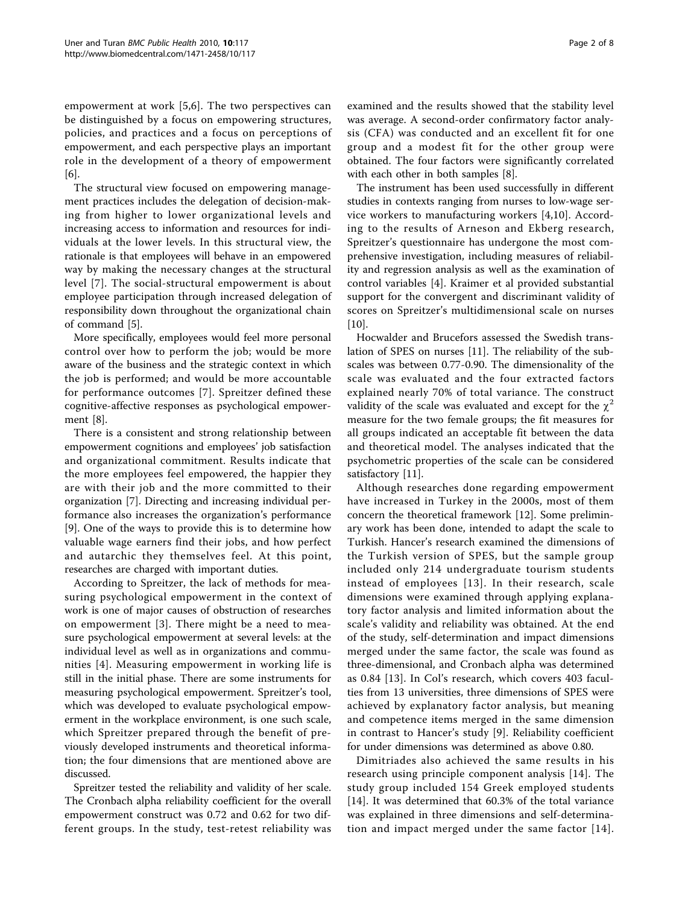empowerment at work [5,6]. The two perspectives can be distinguished by a focus on empowering structures, policies, and practices and a focus on perceptions of empowerment, and each perspective plays an important role in the development of a theory of empowerment [6].

The structural view focused on empowering management practices includes the delegation of decision-making from higher to lower organizational levels and increasing access to information and resources for individuals at the lower levels. In this structural view, the rationale is that employees will behave in an empowered way by making the necessary changes at the structural level [7]. The social-structural empowerment is about employee participation through increased delegation of responsibility down throughout the organizational chain of command [5].

More specifically, employees would feel more personal control over how to perform the job; would be more aware of the business and the strategic context in which the job is performed; and would be more accountable for performance outcomes [7]. Spreitzer defined these cognitive-affective responses as psychological empowerment [8].

There is a consistent and strong relationship between empowerment cognitions and employees' job satisfaction and organizational commitment. Results indicate that the more employees feel empowered, the happier they are with their job and the more committed to their organization [7]. Directing and increasing individual performance also increases the organization's performance [9]. One of the ways to provide this is to determine how valuable wage earners find their jobs, and how perfect and autarchic they themselves feel. At this point, researches are charged with important duties.

According to Spreitzer, the lack of methods for measuring psychological empowerment in the context of work is one of major causes of obstruction of researches on empowerment [3]. There might be a need to measure psychological empowerment at several levels: at the individual level as well as in organizations and communities [4]. Measuring empowerment in working life is still in the initial phase. There are some instruments for measuring psychological empowerment. Spreitzer's tool, which was developed to evaluate psychological empowerment in the workplace environment, is one such scale, which Spreitzer prepared through the benefit of previously developed instruments and theoretical information; the four dimensions that are mentioned above are discussed.

Spreitzer tested the reliability and validity of her scale. The Cronbach alpha reliability coefficient for the overall empowerment construct was 0.72 and 0.62 for two different groups. In the study, test-retest reliability was

examined and the results showed that the stability level was average. A second-order confirmatory factor analysis (CFA) was conducted and an excellent fit for one group and a modest fit for the other group were obtained. The four factors were significantly correlated with each other in both samples [8].

The instrument has been used successfully in different studies in contexts ranging from nurses to low-wage service workers to manufacturing workers [4,10]. According to the results of Arneson and Ekberg research, Spreitzer's questionnaire has undergone the most comprehensive investigation, including measures of reliability and regression analysis as well as the examination of control variables [4]. Kraimer et al provided substantial support for the convergent and discriminant validity of scores on Spreitzer's multidimensional scale on nurses  $[10]$ .

Hocwalder and Brucefors assessed the Swedish translation of SPES on nurses [11]. The reliability of the subscales was between 0.77-0.90. The dimensionality of the scale was evaluated and the four extracted factors explained nearly 70% of total variance. The construct validity of the scale was evaluated and except for the  $\chi^2$ measure for the two female groups; the fit measures for all groups indicated an acceptable fit between the data and theoretical model. The analyses indicated that the psychometric properties of the scale can be considered satisfactory [11].

Although researches done regarding empowerment have increased in Turkey in the 2000s, most of them concern the theoretical framework [12]. Some preliminary work has been done, intended to adapt the scale to Turkish. Hancer's research examined the dimensions of the Turkish version of SPES, but the sample group included only 214 undergraduate tourism students instead of employees [13]. In their research, scale dimensions were examined through applying explanatory factor analysis and limited information about the scale's validity and reliability was obtained. At the end of the study, self-determination and impact dimensions merged under the same factor, the scale was found as three-dimensional, and Cronbach alpha was determined as 0.84 [13]. In Col's research, which covers 403 faculties from 13 universities, three dimensions of SPES were achieved by explanatory factor analysis, but meaning and competence items merged in the same dimension in contrast to Hancer's study [9]. Reliability coefficient for under dimensions was determined as above 0.80.

Dimitriades also achieved the same results in his research using principle component analysis [14]. The study group included 154 Greek employed students [14]. It was determined that 60.3% of the total variance was explained in three dimensions and self-determination and impact merged under the same factor [14].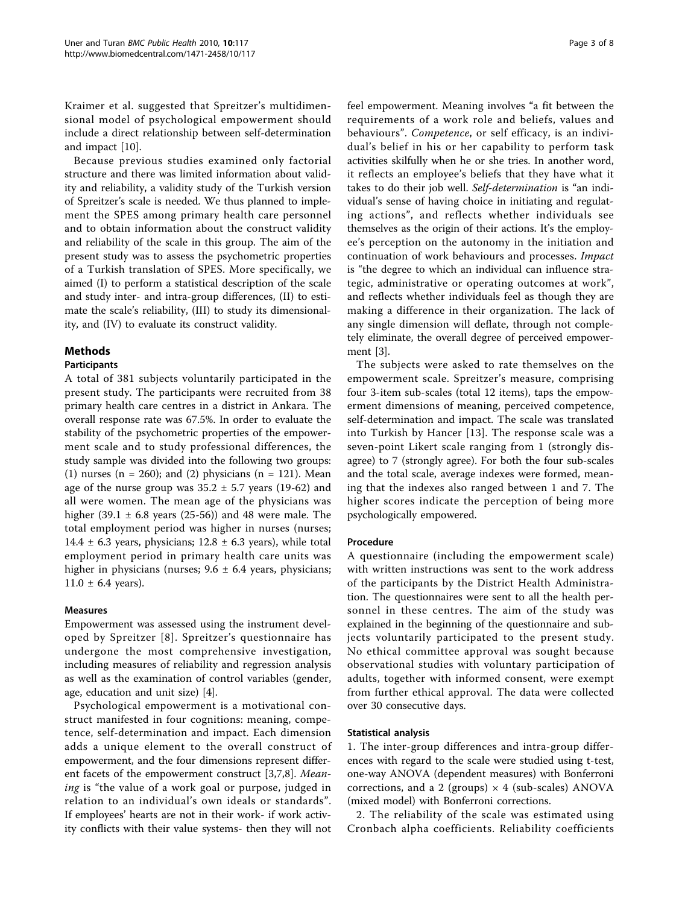Kraimer et al. suggested that Spreitzer's multidimensional model of psychological empowerment should include a direct relationship between self-determination and impact [10].

Because previous studies examined only factorial structure and there was limited information about validity and reliability, a validity study of the Turkish version of Spreitzer's scale is needed. We thus planned to implement the SPES among primary health care personnel and to obtain information about the construct validity and reliability of the scale in this group. The aim of the present study was to assess the psychometric properties of a Turkish translation of SPES. More specifically, we aimed (I) to perform a statistical description of the scale and study inter- and intra-group differences, (II) to estimate the scale's reliability, (III) to study its dimensionality, and (IV) to evaluate its construct validity.

# Methods

## Participants

A total of 381 subjects voluntarily participated in the present study. The participants were recruited from 38 primary health care centres in a district in Ankara. The overall response rate was 67.5%. In order to evaluate the stability of the psychometric properties of the empowerment scale and to study professional differences, the study sample was divided into the following two groups: (1) nurses ( $n = 260$ ); and (2) physicians ( $n = 121$ ). Mean age of the nurse group was  $35.2 \pm 5.7$  years (19-62) and all were women. The mean age of the physicians was higher (39.1  $\pm$  6.8 years (25-56)) and 48 were male. The total employment period was higher in nurses (nurses; 14.4  $\pm$  6.3 years, physicians; 12.8  $\pm$  6.3 years), while total employment period in primary health care units was higher in physicians (nurses;  $9.6 \pm 6.4$  years, physicians;  $11.0 \pm 6.4$  years).

# Measures

Empowerment was assessed using the instrument developed by Spreitzer [8]. Spreitzer's questionnaire has undergone the most comprehensive investigation, including measures of reliability and regression analysis as well as the examination of control variables (gender, age, education and unit size) [4].

Psychological empowerment is a motivational construct manifested in four cognitions: meaning, competence, self-determination and impact. Each dimension adds a unique element to the overall construct of empowerment, and the four dimensions represent different facets of the empowerment construct [3,7,8]. Meaning is "the value of a work goal or purpose, judged in relation to an individual's own ideals or standards". If employees' hearts are not in their work- if work activity conflicts with their value systems- then they will not feel empowerment. Meaning involves "a fit between the requirements of a work role and beliefs, values and behaviours". Competence, or self efficacy, is an individual's belief in his or her capability to perform task activities skilfully when he or she tries. In another word, it reflects an employee's beliefs that they have what it takes to do their job well. Self-determination is "an individual's sense of having choice in initiating and regulating actions", and reflects whether individuals see themselves as the origin of their actions. It's the employee's perception on the autonomy in the initiation and continuation of work behaviours and processes. Impact is "the degree to which an individual can influence strategic, administrative or operating outcomes at work", and reflects whether individuals feel as though they are making a difference in their organization. The lack of any single dimension will deflate, through not completely eliminate, the overall degree of perceived empowerment [3].

The subjects were asked to rate themselves on the empowerment scale. Spreitzer's measure, comprising four 3-item sub-scales (total 12 items), taps the empowerment dimensions of meaning, perceived competence, self-determination and impact. The scale was translated into Turkish by Hancer [13]. The response scale was a seven-point Likert scale ranging from 1 (strongly disagree) to 7 (strongly agree). For both the four sub-scales and the total scale, average indexes were formed, meaning that the indexes also ranged between 1 and 7. The higher scores indicate the perception of being more psychologically empowered.

#### Procedure

A questionnaire (including the empowerment scale) with written instructions was sent to the work address of the participants by the District Health Administration. The questionnaires were sent to all the health personnel in these centres. The aim of the study was explained in the beginning of the questionnaire and subjects voluntarily participated to the present study. No ethical committee approval was sought because observational studies with voluntary participation of adults, together with informed consent, were exempt from further ethical approval. The data were collected over 30 consecutive days.

#### Statistical analysis

1. The inter-group differences and intra-group differences with regard to the scale were studied using t-test, one-way ANOVA (dependent measures) with Bonferroni corrections, and a 2 (groups)  $\times$  4 (sub-scales) ANOVA (mixed model) with Bonferroni corrections.

2. The reliability of the scale was estimated using Cronbach alpha coefficients. Reliability coefficients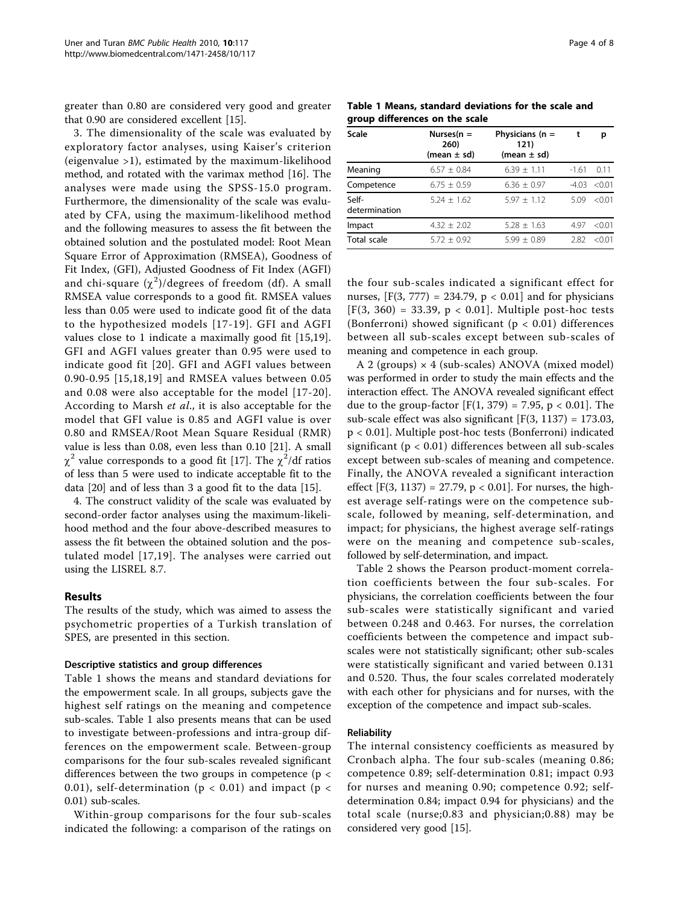greater than 0.80 are considered very good and greater that 0.90 are considered excellent [15].

3. The dimensionality of the scale was evaluated by exploratory factor analyses, using Kaiser's criterion (eigenvalue >1), estimated by the maximum-likelihood method, and rotated with the varimax method [16]. The analyses were made using the SPSS-15.0 program. Furthermore, the dimensionality of the scale was evaluated by CFA, using the maximum-likelihood method and the following measures to assess the fit between the obtained solution and the postulated model: Root Mean Square Error of Approximation (RMSEA), Goodness of Fit Index, (GFI), Adjusted Goodness of Fit Index (AGFI) and chi-square ( $\chi^2$ )/degrees of freedom (df). A small RMSEA value corresponds to a good fit. RMSEA values less than 0.05 were used to indicate good fit of the data to the hypothesized models [17-19]. GFI and AGFI values close to 1 indicate a maximally good fit [15,19]. GFI and AGFI values greater than 0.95 were used to indicate good fit [20]. GFI and AGFI values between 0.90-0.95 [15,18,19] and RMSEA values between 0.05 and 0.08 were also acceptable for the model [17-20]. According to Marsh et al., it is also acceptable for the model that GFI value is 0.85 and AGFI value is over 0.80 and RMSEA/Root Mean Square Residual (RMR) value is less than 0.08, even less than 0.10 [21]. A small  $\chi^2$  value corresponds to a good fit [17]. The  $\chi^2/\mathrm{df}$  ratios of less than 5 were used to indicate acceptable fit to the data [20] and of less than 3 a good fit to the data [15].

4. The construct validity of the scale was evaluated by second-order factor analyses using the maximum-likelihood method and the four above-described measures to assess the fit between the obtained solution and the postulated model [17,19]. The analyses were carried out using the LISREL 8.7.

#### Results

The results of the study, which was aimed to assess the psychometric properties of a Turkish translation of SPES, are presented in this section.

#### Descriptive statistics and group differences

Table 1 shows the means and standard deviations for the empowerment scale. In all groups, subjects gave the highest self ratings on the meaning and competence sub-scales. Table 1 also presents means that can be used to investigate between-professions and intra-group differences on the empowerment scale. Between-group comparisons for the four sub-scales revealed significant differences between the two groups in competence (p < 0.01), self-determination ( $p < 0.01$ ) and impact ( $p <$ 0.01) sub-scales.

Within-group comparisons for the four sub-scales indicated the following: a comparison of the ratings on

Table 1 Means, standard deviations for the scale and group differences on the scale

| Nurses $(n =$<br>260)<br>(mean $\pm$ sd) | Physicians ( $n =$<br>121)<br>(mean $\pm$ sd) | t       | p      |  |
|------------------------------------------|-----------------------------------------------|---------|--------|--|
| $6.57 \pm 0.84$                          | $6.39 \pm 1.11$                               | $-1.61$ | 0.11   |  |
| $6.75 \pm 0.59$                          | $6.36 \pm 0.97$                               | -4.03   | < 0.01 |  |
| $5.24 + 1.62$                            | $5.97 + 1.12$                                 | 5.09    | < 0.01 |  |
| $4.32 \pm 2.02$                          | $5.28 \pm 1.63$                               | 4.97    | < 0.01 |  |
| $5.72 \pm 0.92$                          | $5.99 + 0.89$                                 | 2.82    | < 0.01 |  |
|                                          |                                               |         |        |  |

the four sub-scales indicated a significant effect for nurses,  $[F(3, 777) = 234.79, p < 0.01]$  and for physicians  $[F(3, 360) = 33.39, p < 0.01]$ . Multiple post-hoc tests (Bonferroni) showed significant ( $p < 0.01$ ) differences between all sub-scales except between sub-scales of meaning and competence in each group.

A 2 (groups)  $\times$  4 (sub-scales) ANOVA (mixed model) was performed in order to study the main effects and the interaction effect. The ANOVA revealed significant effect due to the group-factor  $[F(1, 379) = 7.95, p < 0.01]$ . The sub-scale effect was also significant  $[F(3, 1137) = 173.03$ , p < 0.01]. Multiple post-hoc tests (Bonferroni) indicated significant ( $p < 0.01$ ) differences between all sub-scales except between sub-scales of meaning and competence. Finally, the ANOVA revealed a significant interaction effect [F(3, 1137) = 27.79,  $p < 0.01$ ]. For nurses, the highest average self-ratings were on the competence subscale, followed by meaning, self-determination, and impact; for physicians, the highest average self-ratings were on the meaning and competence sub-scales, followed by self-determination, and impact.

Table 2 shows the Pearson product-moment correlation coefficients between the four sub-scales. For physicians, the correlation coefficients between the four sub-scales were statistically significant and varied between 0.248 and 0.463. For nurses, the correlation coefficients between the competence and impact subscales were not statistically significant; other sub-scales were statistically significant and varied between 0.131 and 0.520. Thus, the four scales correlated moderately with each other for physicians and for nurses, with the exception of the competence and impact sub-scales.

#### **Reliability**

The internal consistency coefficients as measured by Cronbach alpha. The four sub-scales (meaning 0.86; competence 0.89; self-determination 0.81; impact 0.93 for nurses and meaning 0.90; competence 0.92; selfdetermination 0.84; impact 0.94 for physicians) and the total scale (nurse;0.83 and physician;0.88) may be considered very good [15].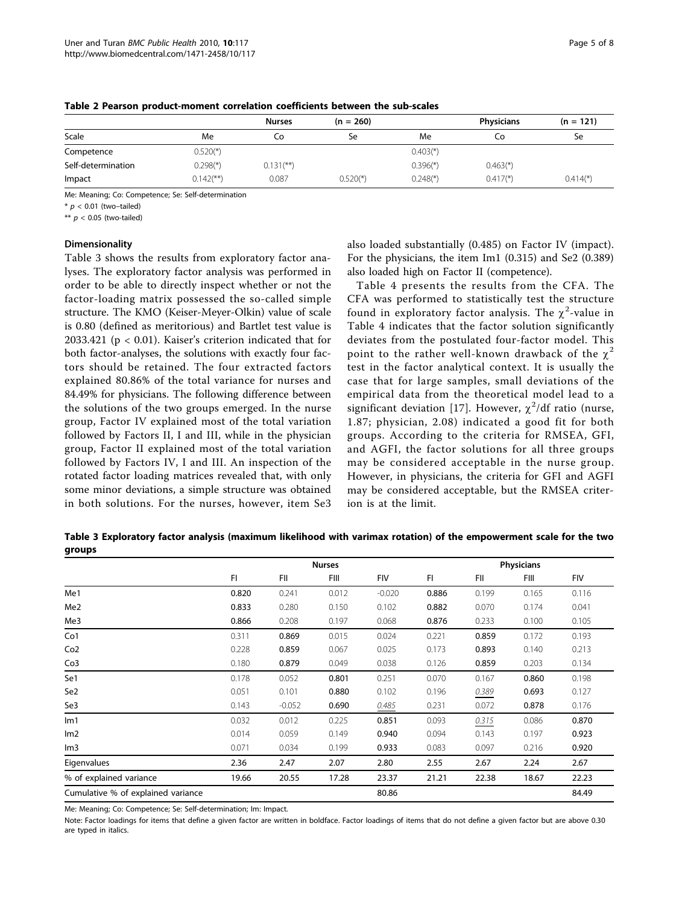|                    |                          | <b>Nurses</b>           | $(n = 260)$            |                          | <b>Physicians</b>      | $(n = 121)$            |
|--------------------|--------------------------|-------------------------|------------------------|--------------------------|------------------------|------------------------|
| Scale              | Me                       | C۵                      | Se                     | Me                       | Co.                    | Se                     |
| Competence         | $0.520(*)$               |                         |                        | $0.403$ <sup>*</sup> )   |                        |                        |
| Self-determination | $0.298$ <sup>(*)</sup> ) | $0.131$ <sup>**</sup> ) |                        | $0.396$ <sup>(*)</sup> ) | $0.463$ <sup>*</sup> ) |                        |
| Impact             | $0.142$ <sup>**</sup> )  | 0.087                   | $0.520$ <sup>*</sup> ) | $0.248$ <sup>*</sup> )   | $0.417$ <sup>*</sup> ) | $0.414$ <sup>*</sup> ) |

Table 2 Pearson product-moment correlation coefficients between the sub-scales

Me: Meaning; Co: Competence; Se: Self-determination

 $*$   $p < 0.01$  (two-tailed)

\*\*  $p < 0.05$  (two-tailed)

#### **Dimensionality**

Table 3 shows the results from exploratory factor analyses. The exploratory factor analysis was performed in order to be able to directly inspect whether or not the factor-loading matrix possessed the so-called simple structure. The KMO (Keiser-Meyer-Olkin) value of scale is 0.80 (defined as meritorious) and Bartlet test value is 2033.421 (p < 0.01). Kaiser's criterion indicated that for both factor-analyses, the solutions with exactly four factors should be retained. The four extracted factors explained 80.86% of the total variance for nurses and 84.49% for physicians. The following difference between the solutions of the two groups emerged. In the nurse group, Factor IV explained most of the total variation followed by Factors II, I and III, while in the physician group, Factor II explained most of the total variation followed by Factors IV, I and III. An inspection of the rotated factor loading matrices revealed that, with only some minor deviations, a simple structure was obtained in both solutions. For the nurses, however, item Se3 also loaded substantially (0.485) on Factor IV (impact). For the physicians, the item Im1 (0.315) and Se2 (0.389) also loaded high on Factor II (competence).

Table 4 presents the results from the CFA. The CFA was performed to statistically test the structure found in exploratory factor analysis. The  $\chi^2$ -value in Table 4 indicates that the factor solution significantly deviates from the postulated four-factor model. This point to the rather well-known drawback of the  $\chi^2$ test in the factor analytical context. It is usually the case that for large samples, small deviations of the empirical data from the theoretical model lead to a significant deviation [17]. However,  $\chi^2$ /df ratio (nurse, 1.87; physician, 2.08) indicated a good fit for both groups. According to the criteria for RMSEA, GFI, and AGFI, the factor solutions for all three groups may be considered acceptable in the nurse group. However, in physicians, the criteria for GFI and AGFI may be considered acceptable, but the RMSEA criterion is at the limit.

Table 3 Exploratory factor analysis (maximum likelihood with varimax rotation) of the empowerment scale for the two groups

|                                    | <b>Nurses</b> |            |       |            | Physicians |            |       |            |
|------------------------------------|---------------|------------|-------|------------|------------|------------|-------|------------|
|                                    | FI            | <b>FII</b> | FIII  | <b>FIV</b> | FI         | <b>FII</b> | FIII  | <b>FIV</b> |
| Me1                                | 0.820         | 0.241      | 0.012 | $-0.020$   | 0.886      | 0.199      | 0.165 | 0.116      |
| Me2                                | 0.833         | 0.280      | 0.150 | 0.102      | 0.882      | 0.070      | 0.174 | 0.041      |
| Me3                                | 0.866         | 0.208      | 0.197 | 0.068      | 0.876      | 0.233      | 0.100 | 0.105      |
| Co1                                | 0.311         | 0.869      | 0.015 | 0.024      | 0.221      | 0.859      | 0.172 | 0.193      |
| Co <sub>2</sub>                    | 0.228         | 0.859      | 0.067 | 0.025      | 0.173      | 0.893      | 0.140 | 0.213      |
| Co <sub>3</sub>                    | 0.180         | 0.879      | 0.049 | 0.038      | 0.126      | 0.859      | 0.203 | 0.134      |
| Se1                                | 0.178         | 0.052      | 0.801 | 0.251      | 0.070      | 0.167      | 0.860 | 0.198      |
| Se <sub>2</sub>                    | 0.051         | 0.101      | 0.880 | 0.102      | 0.196      | 0.389      | 0.693 | 0.127      |
| Se3                                | 0.143         | $-0.052$   | 0.690 | 0.485      | 0.231      | 0.072      | 0.878 | 0.176      |
| Im1                                | 0.032         | 0.012      | 0.225 | 0.851      | 0.093      | 0.315      | 0.086 | 0.870      |
| Im <sub>2</sub>                    | 0.014         | 0.059      | 0.149 | 0.940      | 0.094      | 0.143      | 0.197 | 0.923      |
| Im3                                | 0.071         | 0.034      | 0.199 | 0.933      | 0.083      | 0.097      | 0.216 | 0.920      |
| Eigenvalues                        | 2.36          | 2.47       | 2.07  | 2.80       | 2.55       | 2.67       | 2.24  | 2.67       |
| % of explained variance            | 19.66         | 20.55      | 17.28 | 23.37      | 21.21      | 22.38      | 18.67 | 22.23      |
| Cumulative % of explained variance |               |            |       | 80.86      |            |            |       | 84.49      |

Me: Meaning; Co: Competence; Se: Self-determination; Im: Impact.

Note: Factor loadings for items that define a given factor are written in boldface. Factor loadings of items that do not define a given factor but are above 0.30 are typed in italics.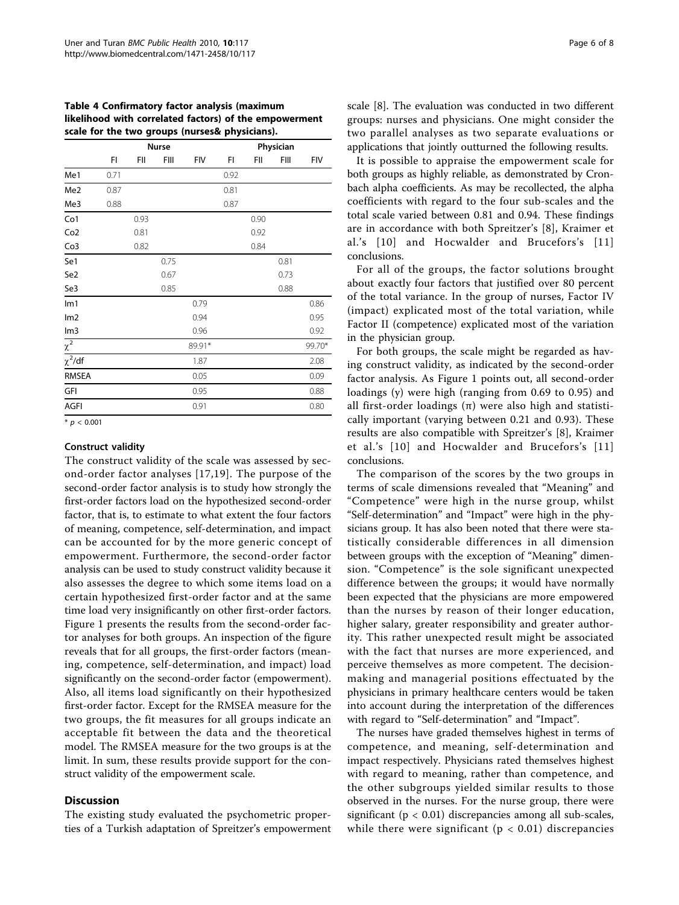Table 4 Confirmatory factor analysis (maximum likelihood with correlated factors) of the empowerment scale for the two groups (nurses& physicians).

|                     | <b>Nurse</b> |      |             |            | Physician |      |      |            |
|---------------------|--------------|------|-------------|------------|-----------|------|------|------------|
|                     | FI           | FII  | <b>FIII</b> | <b>FIV</b> | FI        | FII  | FIII | <b>FIV</b> |
| Me1                 | 0.71         |      |             |            | 0.92      |      |      |            |
| Me2                 | 0.87         |      |             |            | 0.81      |      |      |            |
| Me3                 | 0.88         |      |             |            | 0.87      |      |      |            |
| Co1                 |              | 0.93 |             |            |           | 0.90 |      |            |
| Co2                 |              | 0.81 |             |            |           | 0.92 |      |            |
| Co <sub>3</sub>     |              | 0.82 |             |            |           | 0.84 |      |            |
| Se1                 |              |      | 0.75        |            |           |      | 0.81 |            |
| Se <sub>2</sub>     |              |      | 0.67        |            |           |      | 0.73 |            |
| Se3                 |              |      | 0.85        |            |           |      | 0.88 |            |
| Im1                 |              |      |             | 0.79       |           |      |      | 0.86       |
| Im2                 |              |      |             | 0.94       |           |      |      | 0.95       |
| Im3                 |              |      |             | 0.96       |           |      |      | 0.92       |
| $\overline{\chi^2}$ |              |      |             | 89.91*     |           |      |      | 99.70*     |
| $\chi^2/df$         |              |      |             | 1.87       |           |      |      | 2.08       |
| <b>RMSEA</b>        |              |      |             | 0.05       |           |      |      | 0.09       |
| GFI                 |              |      |             | 0.95       |           |      |      | 0.88       |
| <b>AGFI</b>         |              |      |             | 0.91       |           |      |      | 0.80       |
|                     |              |      |             |            |           |      |      |            |

 $* p < 0.001$ 

#### Construct validity

The construct validity of the scale was assessed by second-order factor analyses [17,19]. The purpose of the second-order factor analysis is to study how strongly the first-order factors load on the hypothesized second-order factor, that is, to estimate to what extent the four factors of meaning, competence, self-determination, and impact can be accounted for by the more generic concept of empowerment. Furthermore, the second-order factor analysis can be used to study construct validity because it also assesses the degree to which some items load on a certain hypothesized first-order factor and at the same time load very insignificantly on other first-order factors. Figure 1 presents the results from the second-order factor analyses for both groups. An inspection of the figure reveals that for all groups, the first-order factors (meaning, competence, self-determination, and impact) load significantly on the second-order factor (empowerment). Also, all items load significantly on their hypothesized first-order factor. Except for the RMSEA measure for the two groups, the fit measures for all groups indicate an acceptable fit between the data and the theoretical model. The RMSEA measure for the two groups is at the limit. In sum, these results provide support for the construct validity of the empowerment scale.

# **Discussion**

The existing study evaluated the psychometric properties of a Turkish adaptation of Spreitzer's empowerment scale [8]. The evaluation was conducted in two different groups: nurses and physicians. One might consider the two parallel analyses as two separate evaluations or applications that jointly outturned the following results.

It is possible to appraise the empowerment scale for both groups as highly reliable, as demonstrated by Cronbach alpha coefficients. As may be recollected, the alpha coefficients with regard to the four sub-scales and the total scale varied between 0.81 and 0.94. These findings are in accordance with both Spreitzer's [8], Kraimer et al.'s [10] and Hocwalder and Brucefors's [11] conclusions.

For all of the groups, the factor solutions brought about exactly four factors that justified over 80 percent of the total variance. In the group of nurses, Factor IV (impact) explicated most of the total variation, while Factor II (competence) explicated most of the variation in the physician group.

For both groups, the scale might be regarded as having construct validity, as indicated by the second-order factor analysis. As Figure 1 points out, all second-order loadings (y) were high (ranging from 0.69 to 0.95) and all first-order loadings  $(π)$  were also high and statistically important (varying between 0.21 and 0.93). These results are also compatible with Spreitzer's [8], Kraimer et al.'s [10] and Hocwalder and Brucefors's [11] conclusions.

The comparison of the scores by the two groups in terms of scale dimensions revealed that "Meaning" and "Competence" were high in the nurse group, whilst "Self-determination" and "Impact" were high in the physicians group. It has also been noted that there were statistically considerable differences in all dimension between groups with the exception of "Meaning" dimension. "Competence" is the sole significant unexpected difference between the groups; it would have normally been expected that the physicians are more empowered than the nurses by reason of their longer education, higher salary, greater responsibility and greater authority. This rather unexpected result might be associated with the fact that nurses are more experienced, and perceive themselves as more competent. The decisionmaking and managerial positions effectuated by the physicians in primary healthcare centers would be taken into account during the interpretation of the differences with regard to "Self-determination" and "Impact".

The nurses have graded themselves highest in terms of competence, and meaning, self-determination and impact respectively. Physicians rated themselves highest with regard to meaning, rather than competence, and the other subgroups yielded similar results to those observed in the nurses. For the nurse group, there were significant ( $p < 0.01$ ) discrepancies among all sub-scales, while there were significant ( $p < 0.01$ ) discrepancies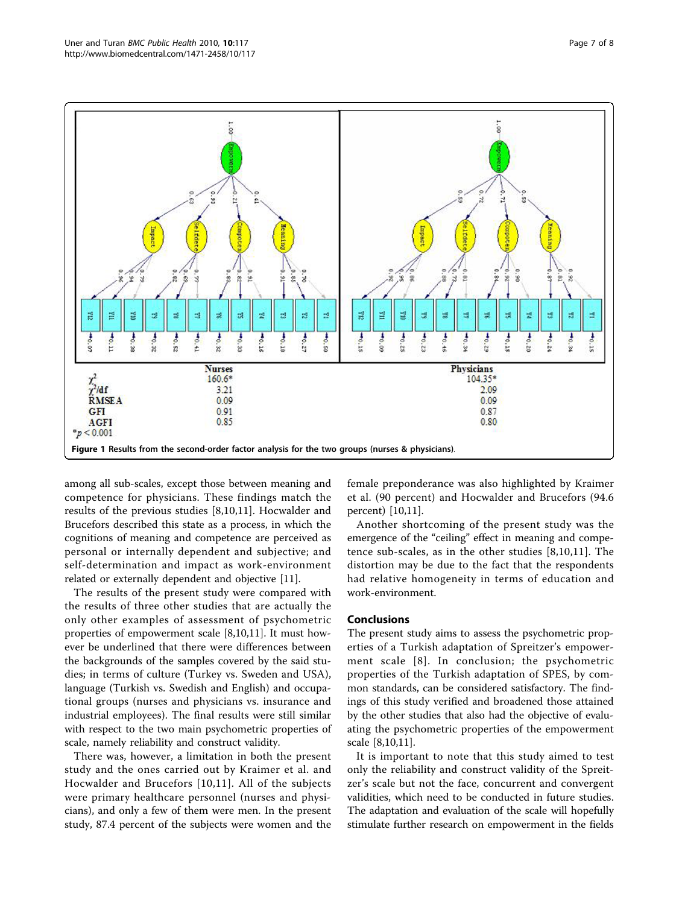

among all sub-scales, except those between meaning and competence for physicians. These findings match the results of the previous studies [8,10,11]. Hocwalder and Brucefors described this state as a process, in which the cognitions of meaning and competence are perceived as personal or internally dependent and subjective; and self-determination and impact as work-environment related or externally dependent and objective [11].

The results of the present study were compared with the results of three other studies that are actually the only other examples of assessment of psychometric properties of empowerment scale [8,10,11]. It must however be underlined that there were differences between the backgrounds of the samples covered by the said studies; in terms of culture (Turkey vs. Sweden and USA), language (Turkish vs. Swedish and English) and occupational groups (nurses and physicians vs. insurance and industrial employees). The final results were still similar with respect to the two main psychometric properties of scale, namely reliability and construct validity.

There was, however, a limitation in both the present study and the ones carried out by Kraimer et al. and Hocwalder and Brucefors [10,11]. All of the subjects were primary healthcare personnel (nurses and physicians), and only a few of them were men. In the present study, 87.4 percent of the subjects were women and the female preponderance was also highlighted by Kraimer et al. (90 percent) and Hocwalder and Brucefors (94.6 percent) [10,11].

Another shortcoming of the present study was the emergence of the "ceiling" effect in meaning and competence sub-scales, as in the other studies [8,10,11]. The distortion may be due to the fact that the respondents had relative homogeneity in terms of education and work-environment.

#### Conclusions

The present study aims to assess the psychometric properties of a Turkish adaptation of Spreitzer's empowerment scale [8]. In conclusion; the psychometric properties of the Turkish adaptation of SPES, by common standards, can be considered satisfactory. The findings of this study verified and broadened those attained by the other studies that also had the objective of evaluating the psychometric properties of the empowerment scale [8,10,11].

It is important to note that this study aimed to test only the reliability and construct validity of the Spreitzer's scale but not the face, concurrent and convergent validities, which need to be conducted in future studies. The adaptation and evaluation of the scale will hopefully stimulate further research on empowerment in the fields